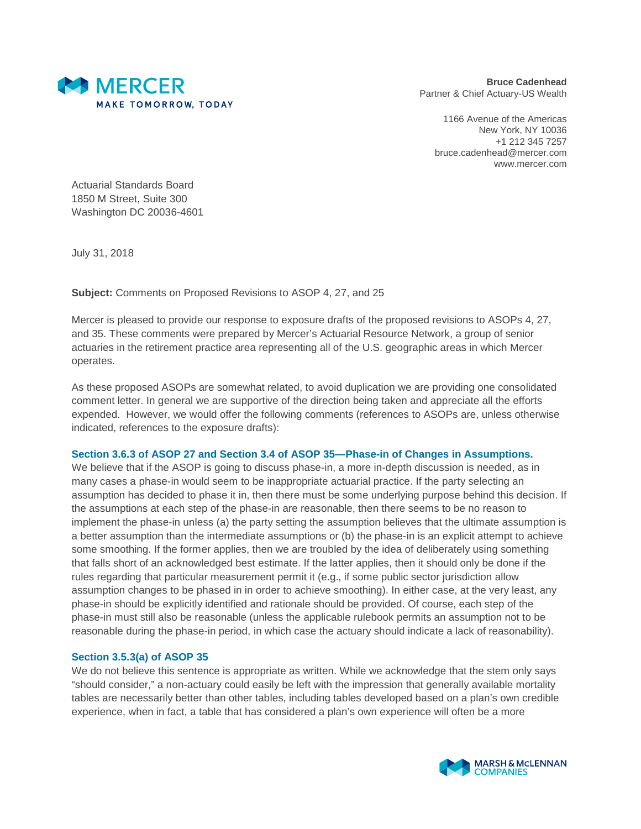

**Bruce Cadenhead** Partner & Chief Actuary-US Wealth

1166 Avenue of the Americas New York, NY 10036 +1 212 345 7257 bruce.cadenhead@mercer.com www.mercer.com

Actuarial Standards Board 1850 M Street, Suite 300 Washington DC 20036-4601

July 31, 2018

**Subject:** Comments on Proposed Revisions to ASOP 4, 27, and 25

Mercer is pleased to provide our response to exposure drafts of the proposed revisions to ASOPs 4, 27, and 35. These comments were prepared by Mercer's Actuarial Resource Network, a group of senior actuaries in the retirement practice area representing all of the U.S. geographic areas in which Mercer operates.

As these proposed ASOPs are somewhat related, to avoid duplication we are providing one consolidated comment letter. In general we are supportive of the direction being taken and appreciate all the efforts expended. However, we would offer the following comments (references to ASOPs are, unless otherwise indicated, references to the exposure drafts):

### **Section 3.6.3 of ASOP 27 and Section 3.4 of ASOP 35—Phase-in of Changes in Assumptions.**

We believe that if the ASOP is going to discuss phase-in, a more in-depth discussion is needed, as in many cases a phase-in would seem to be inappropriate actuarial practice. If the party selecting an assumption has decided to phase it in, then there must be some underlying purpose behind this decision. If the assumptions at each step of the phase-in are reasonable, then there seems to be no reason to implement the phase-in unless (a) the party setting the assumption believes that the ultimate assumption is a better assumption than the intermediate assumptions or (b) the phase-in is an explicit attempt to achieve some smoothing. If the former applies, then we are troubled by the idea of deliberately using something that falls short of an acknowledged best estimate. If the latter applies, then it should only be done if the rules regarding that particular measurement permit it (e.g., if some public sector jurisdiction allow assumption changes to be phased in in order to achieve smoothing). In either case, at the very least, any phase-in should be explicitly identified and rationale should be provided. Of course, each step of the phase-in must still also be reasonable (unless the applicable rulebook permits an assumption not to be reasonable during the phase-in period, in which case the actuary should indicate a lack of reasonability).

### **Section 3.5.3(a) of ASOP 35**

We do not believe this sentence is appropriate as written. While we acknowledge that the stem only says "should consider," a non-actuary could easily be left with the impression that generally available mortality tables are necessarily better than other tables, including tables developed based on a plan's own credible experience, when in fact, a table that has considered a plan's own experience will often be a more

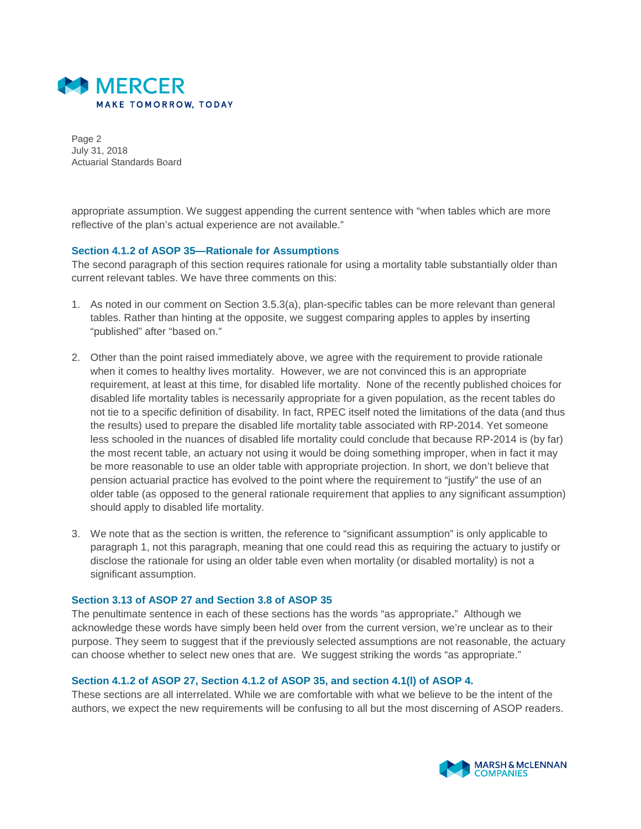

Page 2 July 31, 2018 Actuarial Standards Board

appropriate assumption. We suggest appending the current sentence with "when tables which are more reflective of the plan's actual experience are not available."

### **Section 4.1.2 of ASOP 35—Rationale for Assumptions**

The second paragraph of this section requires rationale for using a mortality table substantially older than current relevant tables. We have three comments on this:

- 1. As noted in our comment on Section 3.5.3(a), plan-specific tables can be more relevant than general tables. Rather than hinting at the opposite, we suggest comparing apples to apples by inserting "published" after "based on."
- 2. Other than the point raised immediately above, we agree with the requirement to provide rationale when it comes to healthy lives mortality. However, we are not convinced this is an appropriate requirement, at least at this time, for disabled life mortality. None of the recently published choices for disabled life mortality tables is necessarily appropriate for a given population, as the recent tables do not tie to a specific definition of disability. In fact, RPEC itself noted the limitations of the data (and thus the results) used to prepare the disabled life mortality table associated with RP-2014. Yet someone less schooled in the nuances of disabled life mortality could conclude that because RP-2014 is (by far) the most recent table, an actuary not using it would be doing something improper, when in fact it may be more reasonable to use an older table with appropriate projection. In short, we don't believe that pension actuarial practice has evolved to the point where the requirement to "justify" the use of an older table (as opposed to the general rationale requirement that applies to any significant assumption) should apply to disabled life mortality.
- 3. We note that as the section is written, the reference to "significant assumption" is only applicable to paragraph 1, not this paragraph, meaning that one could read this as requiring the actuary to justify or disclose the rationale for using an older table even when mortality (or disabled mortality) is not a significant assumption.

#### **Section 3.13 of ASOP 27 and Section 3.8 of ASOP 35**

The penultimate sentence in each of these sections has the words "as appropriate**.**" Although we acknowledge these words have simply been held over from the current version, we're unclear as to their purpose. They seem to suggest that if the previously selected assumptions are not reasonable, the actuary can choose whether to select new ones that are. We suggest striking the words "as appropriate."

#### **Section 4.1.2 of ASOP 27, Section 4.1.2 of ASOP 35, and section 4.1(l) of ASOP 4.**

These sections are all interrelated. While we are comfortable with what we believe to be the intent of the authors, we expect the new requirements will be confusing to all but the most discerning of ASOP readers.

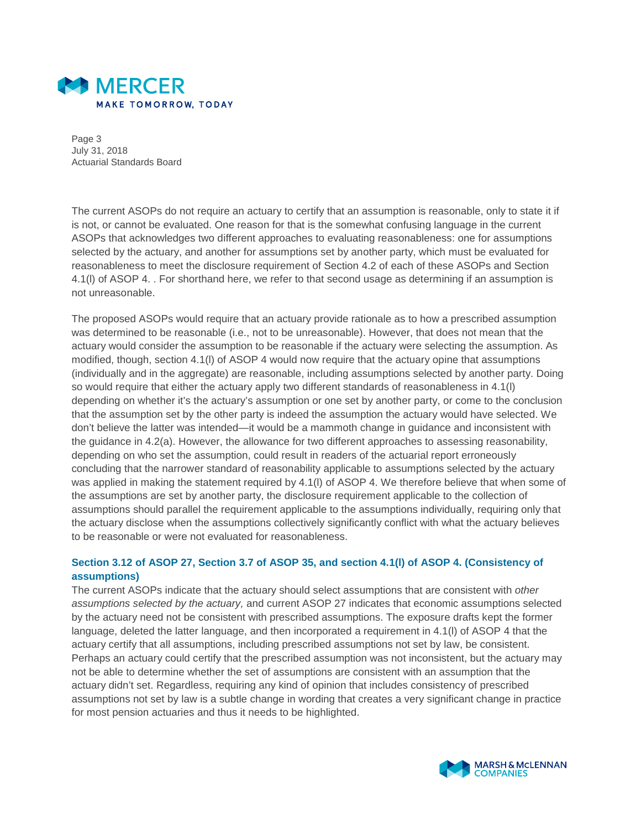

Page 3 July 31, 2018 Actuarial Standards Board

The current ASOPs do not require an actuary to certify that an assumption is reasonable, only to state it if is not, or cannot be evaluated. One reason for that is the somewhat confusing language in the current ASOPs that acknowledges two different approaches to evaluating reasonableness: one for assumptions selected by the actuary, and another for assumptions set by another party, which must be evaluated for reasonableness to meet the disclosure requirement of Section 4.2 of each of these ASOPs and Section 4.1(l) of ASOP 4. . For shorthand here, we refer to that second usage as determining if an assumption is not unreasonable.

The proposed ASOPs would require that an actuary provide rationale as to how a prescribed assumption was determined to be reasonable (i.e., not to be unreasonable). However, that does not mean that the actuary would consider the assumption to be reasonable if the actuary were selecting the assumption. As modified, though, section 4.1(l) of ASOP 4 would now require that the actuary opine that assumptions (individually and in the aggregate) are reasonable, including assumptions selected by another party. Doing so would require that either the actuary apply two different standards of reasonableness in 4.1(l) depending on whether it's the actuary's assumption or one set by another party, or come to the conclusion that the assumption set by the other party is indeed the assumption the actuary would have selected. We don't believe the latter was intended—it would be a mammoth change in guidance and inconsistent with the guidance in 4.2(a). However, the allowance for two different approaches to assessing reasonability, depending on who set the assumption, could result in readers of the actuarial report erroneously concluding that the narrower standard of reasonability applicable to assumptions selected by the actuary was applied in making the statement required by 4.1(l) of ASOP 4. We therefore believe that when some of the assumptions are set by another party, the disclosure requirement applicable to the collection of assumptions should parallel the requirement applicable to the assumptions individually, requiring only that the actuary disclose when the assumptions collectively significantly conflict with what the actuary believes to be reasonable or were not evaluated for reasonableness.

# **Section 3.12 of ASOP 27, Section 3.7 of ASOP 35, and section 4.1(l) of ASOP 4. (Consistency of assumptions)**

The current ASOPs indicate that the actuary should select assumptions that are consistent with *other assumptions selected by the actuary,* and current ASOP 27 indicates that economic assumptions selected by the actuary need not be consistent with prescribed assumptions. The exposure drafts kept the former language, deleted the latter language, and then incorporated a requirement in 4.1(l) of ASOP 4 that the actuary certify that all assumptions, including prescribed assumptions not set by law, be consistent. Perhaps an actuary could certify that the prescribed assumption was not inconsistent, but the actuary may not be able to determine whether the set of assumptions are consistent with an assumption that the actuary didn't set. Regardless, requiring any kind of opinion that includes consistency of prescribed assumptions not set by law is a subtle change in wording that creates a very significant change in practice for most pension actuaries and thus it needs to be highlighted.

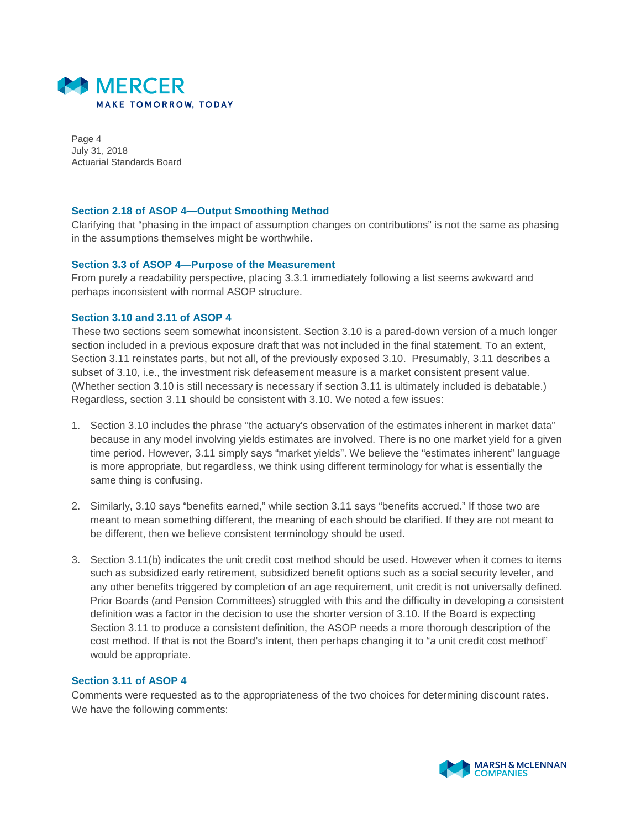

Page 4 July 31, 2018 Actuarial Standards Board

## **Section 2.18 of ASOP 4—Output Smoothing Method**

Clarifying that "phasing in the impact of assumption changes on contributions" is not the same as phasing in the assumptions themselves might be worthwhile.

### **Section 3.3 of ASOP 4—Purpose of the Measurement**

From purely a readability perspective, placing 3.3.1 immediately following a list seems awkward and perhaps inconsistent with normal ASOP structure.

### **Section 3.10 and 3.11 of ASOP 4**

These two sections seem somewhat inconsistent. Section 3.10 is a pared-down version of a much longer section included in a previous exposure draft that was not included in the final statement. To an extent, Section 3.11 reinstates parts, but not all, of the previously exposed 3.10. Presumably, 3.11 describes a subset of 3.10, i.e., the investment risk defeasement measure is a market consistent present value. (Whether section 3.10 is still necessary is necessary if section 3.11 is ultimately included is debatable.) Regardless, section 3.11 should be consistent with 3.10. We noted a few issues:

- 1. Section 3.10 includes the phrase "the actuary's observation of the estimates inherent in market data" because in any model involving yields estimates are involved. There is no one market yield for a given time period. However, 3.11 simply says "market yields". We believe the "estimates inherent" language is more appropriate, but regardless, we think using different terminology for what is essentially the same thing is confusing.
- 2. Similarly, 3.10 says "benefits earned," while section 3.11 says "benefits accrued." If those two are meant to mean something different, the meaning of each should be clarified. If they are not meant to be different, then we believe consistent terminology should be used.
- 3. Section 3.11(b) indicates the unit credit cost method should be used. However when it comes to items such as subsidized early retirement, subsidized benefit options such as a social security leveler, and any other benefits triggered by completion of an age requirement, unit credit is not universally defined. Prior Boards (and Pension Committees) struggled with this and the difficulty in developing a consistent definition was a factor in the decision to use the shorter version of 3.10. If the Board is expecting Section 3.11 to produce a consistent definition, the ASOP needs a more thorough description of the cost method. If that is not the Board's intent, then perhaps changing it to "*a* unit credit cost method" would be appropriate.

### **Section 3.11 of ASOP 4**

Comments were requested as to the appropriateness of the two choices for determining discount rates. We have the following comments:

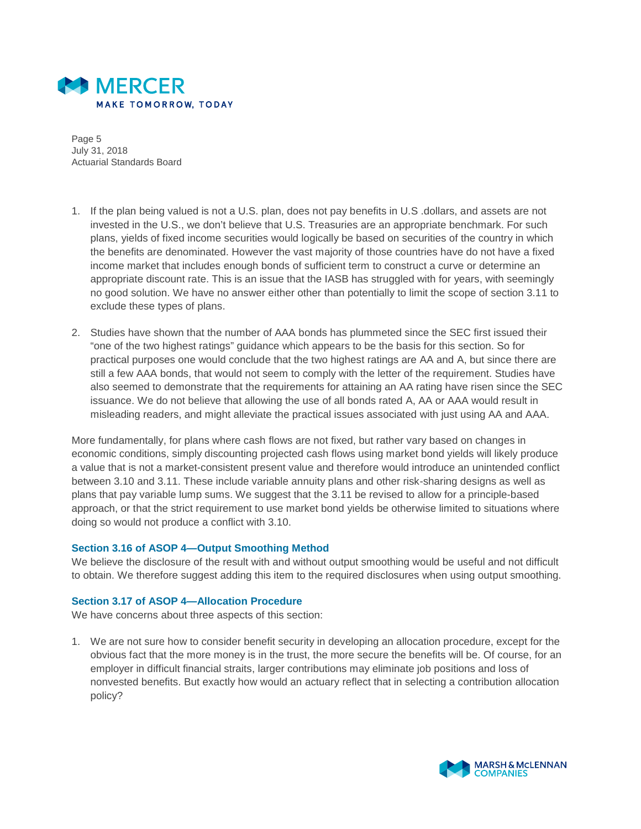

Page 5 July 31, 2018 Actuarial Standards Board

- 1. If the plan being valued is not a U.S. plan, does not pay benefits in U.S .dollars, and assets are not invested in the U.S., we don't believe that U.S. Treasuries are an appropriate benchmark. For such plans, yields of fixed income securities would logically be based on securities of the country in which the benefits are denominated. However the vast majority of those countries have do not have a fixed income market that includes enough bonds of sufficient term to construct a curve or determine an appropriate discount rate. This is an issue that the IASB has struggled with for years, with seemingly no good solution. We have no answer either other than potentially to limit the scope of section 3.11 to exclude these types of plans.
- 2. Studies have shown that the number of AAA bonds has plummeted since the SEC first issued their "one of the two highest ratings" guidance which appears to be the basis for this section. So for practical purposes one would conclude that the two highest ratings are AA and A, but since there are still a few AAA bonds, that would not seem to comply with the letter of the requirement. Studies have also seemed to demonstrate that the requirements for attaining an AA rating have risen since the SEC issuance. We do not believe that allowing the use of all bonds rated A, AA or AAA would result in misleading readers, and might alleviate the practical issues associated with just using AA and AAA.

More fundamentally, for plans where cash flows are not fixed, but rather vary based on changes in economic conditions, simply discounting projected cash flows using market bond yields will likely produce a value that is not a market-consistent present value and therefore would introduce an unintended conflict between 3.10 and 3.11. These include variable annuity plans and other risk-sharing designs as well as plans that pay variable lump sums. We suggest that the 3.11 be revised to allow for a principle-based approach, or that the strict requirement to use market bond yields be otherwise limited to situations where doing so would not produce a conflict with 3.10.

### **Section 3.16 of ASOP 4—Output Smoothing Method**

We believe the disclosure of the result with and without output smoothing would be useful and not difficult to obtain. We therefore suggest adding this item to the required disclosures when using output smoothing.

# **Section 3.17 of ASOP 4—Allocation Procedure**

We have concerns about three aspects of this section:

1. We are not sure how to consider benefit security in developing an allocation procedure, except for the obvious fact that the more money is in the trust, the more secure the benefits will be. Of course, for an employer in difficult financial straits, larger contributions may eliminate job positions and loss of nonvested benefits. But exactly how would an actuary reflect that in selecting a contribution allocation policy?

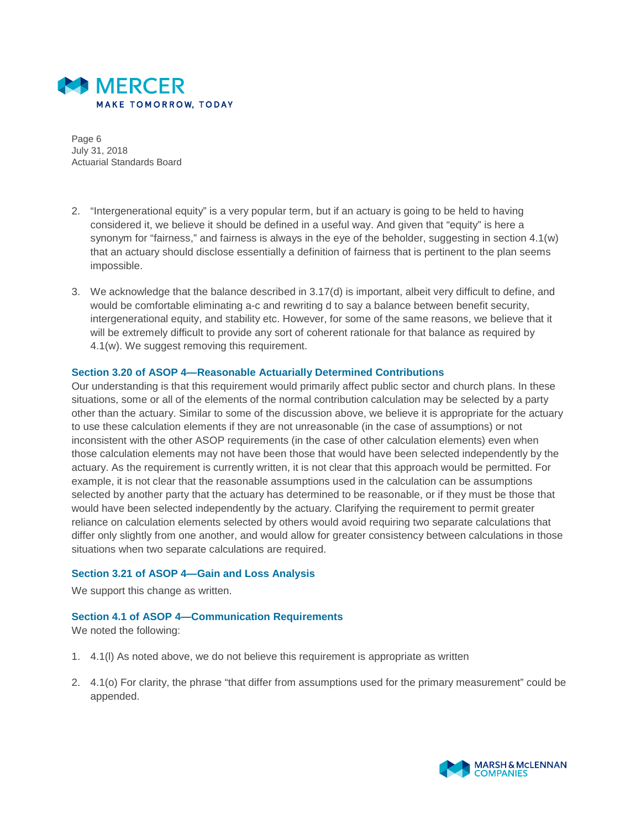

Page 6 July 31, 2018 Actuarial Standards Board

- 2. "Intergenerational equity" is a very popular term, but if an actuary is going to be held to having considered it, we believe it should be defined in a useful way. And given that "equity" is here a synonym for "fairness," and fairness is always in the eye of the beholder, suggesting in section 4.1(w) that an actuary should disclose essentially a definition of fairness that is pertinent to the plan seems impossible.
- 3. We acknowledge that the balance described in 3.17(d) is important, albeit very difficult to define, and would be comfortable eliminating a-c and rewriting d to say a balance between benefit security, intergenerational equity, and stability etc. However, for some of the same reasons, we believe that it will be extremely difficult to provide any sort of coherent rationale for that balance as required by 4.1(w). We suggest removing this requirement.

### **Section 3.20 of ASOP 4—Reasonable Actuarially Determined Contributions**

Our understanding is that this requirement would primarily affect public sector and church plans. In these situations, some or all of the elements of the normal contribution calculation may be selected by a party other than the actuary. Similar to some of the discussion above, we believe it is appropriate for the actuary to use these calculation elements if they are not unreasonable (in the case of assumptions) or not inconsistent with the other ASOP requirements (in the case of other calculation elements) even when those calculation elements may not have been those that would have been selected independently by the actuary. As the requirement is currently written, it is not clear that this approach would be permitted. For example, it is not clear that the reasonable assumptions used in the calculation can be assumptions selected by another party that the actuary has determined to be reasonable, or if they must be those that would have been selected independently by the actuary. Clarifying the requirement to permit greater reliance on calculation elements selected by others would avoid requiring two separate calculations that differ only slightly from one another, and would allow for greater consistency between calculations in those situations when two separate calculations are required.

### **Section 3.21 of ASOP 4—Gain and Loss Analysis**

We support this change as written.

### **Section 4.1 of ASOP 4—Communication Requirements**

We noted the following:

- 1. 4.1(l) As noted above, we do not believe this requirement is appropriate as written
- 2. 4.1(o) For clarity, the phrase "that differ from assumptions used for the primary measurement" could be appended.